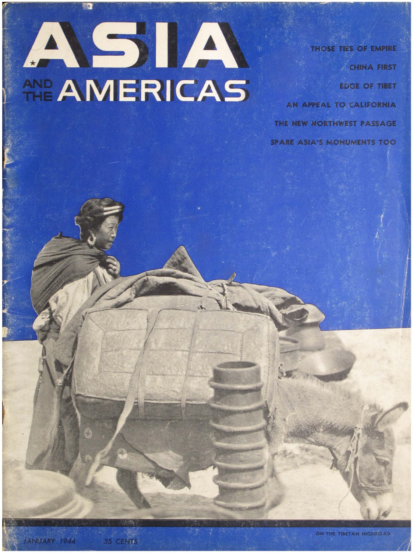## ASIA AND AMERICAS

**THOSE TIES OF EMPIRE CHINA FIRST EDGE OF TIBET** AN APPEAL TO CALIFORNIA THE NEW NORTHWEST PASSAGE **SPARE ASIA'S MONUMENTS TOO** 

35 CENTS

ON THE TIBETAN HIGHROAD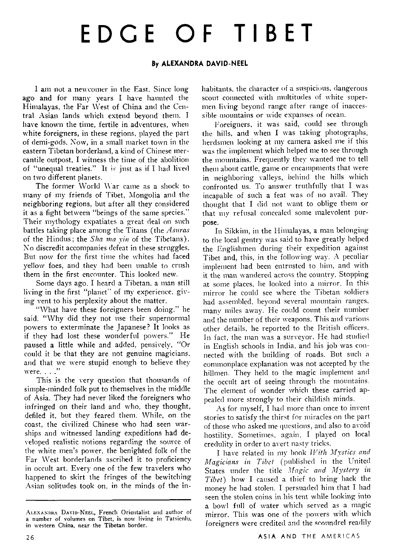## EDGE OF TIBET

## **By ALEXANDRA DAVID-NEEL**

I am not a newcomer in the East. Since long ago and for many years I have haunted the Himalayas, the Far West of China and the Central Asian lands which extend beyond them. I have known the time, fertile in adventures, when white foreigners, in these regions, played the part of demi-gods. Now, in a small market town in the eastern Tibetan borderland, a kind of Chinese mercantile outpost, I witness the time of the abolition of "unequal treaties." It is just as if I had lived on two different planets.

The former  $World$   $War$  came as a shock to many of my friends of Tibet, Mongolia and the neighboring regions, but after all they considered it as a fight between "beings of the same species." Their mythology expatiates a great deal on such battles taking place among the Titans (the *Asuras* of the Hindus; the *Sha ma vin* of the Tibetans). Ko discredit accompanies defeat in these struggles. But now for the first time the whites had faced yellow foes, and they had been unable to crush them in the first encounter. This looked new.

Some days ago. I heard a Tibetan, a man still living in the first "planet" of my experience. giving vent to his perplexity about the matter.

"What have these foreigners been doing," he said. "Why did they not use their supernormal powers to exterminate the Japanese? It looks as if they had lost these wonderful powers." He paused a little while and added, pensively. "Or could it be that they are not genuine magicians. and that we were stupid enough to believe they were. . . ."

This is the very question that thousands of simple-minded folk put to themselves in the middle of Asia. They had never liked the foreigners who infringed on their land and who, they thought, defiled it, but they feared them. While, on the coast, the civilized Chinese who had seen warships and witnessed landing expeditions had developed realistic notions regarding the sourcc of the white men's power, the benighted folk of the Far West borderlands ascribed it to proficiency in occult art. Every one of the few travelers who happened to skirt the fringes of the bewitching -4sian solitudes took on, in the minds of the inhabitants, the character of a suspicious, dangerous scout connected with multitudes of white supermen living beyond range after range of inaccessible mountains or wide expanses of ocean.

Foreigners, it was said, could see through the hills, and when I was taking photographs. herdsmen looking at my camera asked me if this was the implement which helped me to see through the mountains. Frequently they wanted me to tell them about cattle, game or cncampments that were in neighboring valleys, behind the hills which confronted us. To answer truthfully that I was incapable of such a feat was of no avail. They thought that I did not want to oblige them or that my refusal concealed some malevolent purpose.

In Sikkim, in the Himalayas, a man belonging to the local gentry was said to have greatly helped the Englishmen during their expedition against Tibet and, this, in the following way. A peculiar implement had been entrusted to him, and with it the man wandered across the country. Stopping at some places, he loolced into a mirror. In this mirror he could sce where the Tibetan soldiers had assembled, beyond several mountain ranges. many miles away. He could count their nuniber and the number of their weapons. This and various other details, he reported to the British officers. In fact, the man was a surveyor. He had studied in English schools in India, and his job was connected with the building of roads. But such a commonplace explanation was not accepted by the hillmen. They held to the magic implement and the occult art of seeing through the mountains. The element of wonder which these carried appealed more strongly to their childish minds.

As for myself, I had more than once to invent stories to satisfy the thirst for miracles on the part of those who asked me questions, and also to avoid hostility. Sometimes, again. I played on local credulity in order to avert nasty tricks.

I have related in my book *With Mystics and* Magicians in Tibet (published in the United States under the title *Magic and Mystery in Tibet*) how I caused a thief to bring back the money he had stolen. I persuaded him that I had seen the stolen coins in his tent while looking into a bowl full of water which served as a magic mirror. This was one of the powers with which foreigners were credited and the scoundrel readily

 $A$ LEXANDRA DAVID-NEEL, French Orientalist and author of a number of volumes on Tibet, is now living in Tatsienlu, in western China, near the Tibetan border.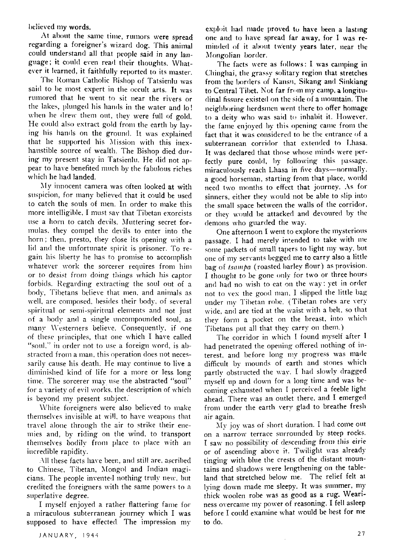believed my words.

At about the same time, rumors were spread regarding a foreigner's wizard dog. This animal could understand all that people said in any language; it could even read their thoughts. Whatever it learned, it faithfully reported to its master.

The Roman Catholic Bishop of Tatsienlu was said to be most expert in the occult arts. It was rumored that he went to sit near the rivers or the lakes, plunged his hands in the water and lo! when he drew them out, they were full of gold. He could also extract gold from the earth by laying his hands on the ground. It was explained that he supported his Mission with this inexhaustible source of wealth. The Bishop died during my present stay in Tatsienlu. He did not anpear to have benefited much by the fabulous riches which he had landed.

My innocent camera was often looked at with suspicion, for many believed that it could be used to catch the souls of men. In order to make this more intelligible, I must say that Tibetan exorcists use a horn to catch devils. Muttering secret formulas, they compel the devils to enter into the horn; then, presto, they close its opening with a lid and the unfortunate spirit is prisoner. To regain his liberty he has to promise to accomplish whatever work the sorcerer requires from him or to desist from doing things which his captor forbids. Regarding extracting the soul out of a body, Tibetans believe that men, and animals as well, are composed, besides their body, of several spiritual or semi-spiritual elements and not just of a body and a single uncompounded soul, as many Westerners believe. Consequently, if one of these principles, that one which I have called "soul," in order not to use a foreign word, is abstracted from a man, this operation does not necessarily cause his death. He may continue to live a diminished kind of life for a more or less long time. The sorcerer may use the abstracted "soul" for a variety of evil works, the description of which is beyond my present subject.

White foreigners were also believed to make themselves invisible at will, to have weapons that travel alone through the air to strike their enemies and, by riding on the wind, to transport themselves bodily from place to place with an incredible rapidity.

All these facts have been, and still are, ascribed to Chinese, Tibetan, Mongol and Indian magicians. The people invented nothing truly new, but credited the foreigners with the same powers to a superlative degree.

I myself enjoyed a rather flattering fame for a miraculous subterranean journey which I was supposed to have effected. The impression my exploit had made proved to have been a lasting one and to have spread far away, for I was reminded of it about twenty years later, near the Mongolian border.

The facts were as follows: I was camping in Chinghai, the grassy solitary region that stretches from the borders of Kansu, Sikang and Sinkiang to Central Tibet. Not far from my camp, a longitudinal fissure existed on the side of a mountain. The neighboring herdsmen went there to offer homage to a deity who was said to inhabit it. However, the fame enjoyed by this opening came from the fact that it was considered to be the entrance of a subterranean corridor that extended to Lhasa. It was declared that those whose minds were perfectly pure could, by following this passage, miraculously reach Lhasa in five days-normally. a good horseman, starting from that place, would need two months to effect that journey. As for sinners, either they would not be able to slip into the small space between the walls of the corridor, or they would be attacked and devoured by the demons who guarded the way.

One afternoon I went to explore the mysterious passage. I had merely intended to take with me some packets of small tapers to light my way, but one of my servants begged me to carry also a little bag of tsampa (roasted barley flour) as provision. I thought to be gone only for two or three hours and had no wish to eat on the way: yet in order not to yex the good man, I slipped the little bag under my Tibetan robe. (Tibetan robes are very wide, and are tied at the waist with a belt, so that they form a pocket on the breast, into which Tibetans put all that they carry on them.)

The corridor in which I found myself after I had penetrated the opening offered nothing of interest, and before long my progress was made difficult by mounds of earth and stones which partly obstructed the way. I had slowly dragged myself up and down for a long time and was becoming exhausted when I perceived a feeble light ahead. There was an outlet there, and I emerged from under the earth very glad to breathe fresh air again.

My joy was of short duration. I had come out on a narrow terrace surrounded by steep rocks. I saw no possibility of descending from this eirie or of ascending above it. Twilight was already tinging with blue the crests of the distant mountains and shadows were lengthening on the tableland that stretched below me. The relief felt at lying down made me sleepy. It was summer, my thick woolen robe was as good as a rug. Weariness overcame my power of reasoning. I fell asleep before I could examine what would be best for me to do.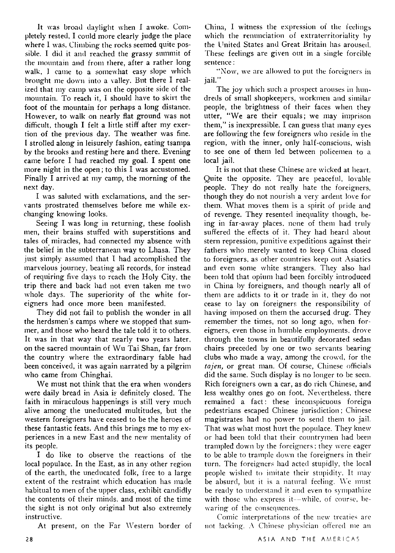It was broad daylight when I awoke. Completely rested, I could more clearly judge the place where I was. Climbing the rocks seemed quite possible. I did it and reached the grassy summit of the mountain and from there, after a rather long walk. I came to a somewhat easy slope which brought me down into a valley. But there I realized that my camp was on the opposite side of the mountain. To reach it, I should have to skirt the foot of the mountain for perhaps a long distance. However, to walk on nearly flat ground was not difficult, though I felt a little stiff after my exertion of the previous day. The weather was fine. I strolled along in leisurely fashion, eating tsampa by the brooks and resting here and there. Evening came before I had reached my goal. I spent one more night in the open; to this  $I$  was accustomed. Finally I arrived at my camp, the morning of the next day.

I was saluted with esclamations, and the servants prostrated themselves before me while exchanging knowing looks.

Seeing I was long in returning, these foolish men, their brains stuffed with superstitions and tales of- miracles, had connected my absence with the belief in the subterranean way to Lhasa. They just simply assumed that  $I$  had accomplished the marvelous journey, beating all records, for instead of requiring five days to reach the Holy City. the trip there and back had not even taken me two whole days. The superiority of the white foreigners had once more been manifested.

They did not fail to publish the wonder in all the herdsmen's camps where we stopped that summer, and those who heard the tale told it to others. It was in that way that nearly two years later, on the sacred mountain of Wu Tai Shan, far from the country where the extraordinary fable had been conceived, it was again narrated by a pilgrim who came from Chinghai.

We must not think that the era when wonders were daily bread in Asia is definitely closed. The faith in miraculous happenings is still very much alive among the uneducated multitudes, but the western foreigners have ce2sed to be the heroes of these fantastic feats. And this brings me to my experiences in a new East and the new mentality of its people.

I do like to observe the reactions of the local populace. In the East, as in any other region of the earth, the uneducated folk, free to a large extent of the restraint which education has made habitual to men of the upper class, exhibit candidly the contents of their minds. and most of the time the sight is not only original but also extremely instructive.

At present, on the Far Western border of

China, I witness the expression of the feelings which the renunciation of extraterritoriality by the United States and Great Britain has aroused.<br>These feelings are given out in a single forcible sentence :

"Now, we are allowed to put the foreigners in jail."

The joy which such a prospect arouses in hundreds of small shopkeepers, workmen and similar people, the brightness of their faces when they utter, "We are their equals; we may imprison them," is inexpressible. I can guess that many eyes are following the few foreigners who reside in the region, with the inner, only half-conscious, wish to see one of them led between policemen to a local jail.

It is not that these Chinese are wicked at heart. Quite the opposite. They are peaceful, lovable people. They do not really hate the foreigners, though they do not nourish a very ardent love for them. What moves them is a spirit of pricle and of revenge. They resented inequality though, being in far-away places, none of them had truly suffered the effects of it. They had heard about stern repression, punitive espeditions against their fathers who merely wanted to keep China closed to foreigners, as other countries keep out Asiatics and even some white strangers. They also had been told that opium had been forcibly introduced in China by foreigners, and though nearly all of them are addicts to it or trade in it, they do not cease to lay on foreigners the responsibility of having imposed on them the accursed drug. They remember the times, not so long ago. when foreigners, even those in humble employments, drove through the towns in beautifully decorated sedan chairs preceded by one or two servants hearing clubs who made a way, among the crowd, for the tajen, or great man. Of course, Chinese officials did the same. Such display is no longer to be scen. Rich foreigners own a car, as do rich Chinese, and less wealthy ones go on foot. Nevertheless, there remained a fact: these inconspicuous foreign pedestrians escaped Chinese jurisdiction ; Chinese magistrates had no power to send them to jail. That was what most hurt the populace. They knew or had been told that their countrymen had been trampled down by the foreigners: they were eager to be able to trample down the foreigners in their turn. The foreigners had acted stupidly, the local people wished to imitate their stupidity. It may be absurd, but it is a natural feeling. We must be ready to understand it and even to sympathize with those who express it--while, of course, bewaring of the consequences.

Comic interpretations of the new treaties are not lacking. A Chinese physician offered me an